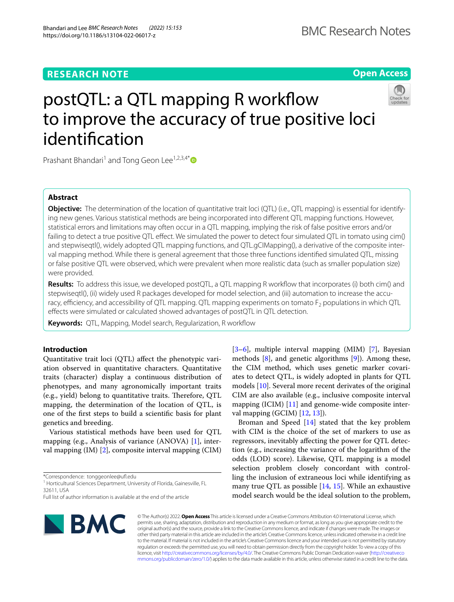Bhandari and Lee *BMC Research Notes (2022) 15:153* 

https://doi.org/10.1186/s13104-022-06017-z

# **Open Access**

# postQTL: a QTL mapping R workflow to improve the accuracy of true positive loci identifcation



Prashant Bhandari<sup>1</sup> and Tong Geon Lee<sup>1,2,3,4\*</sup>

# **Abstract**

**Objective:** The determination of the location of quantitative trait loci (QTL) (i.e., QTL mapping) is essential for identifying new genes. Various statistical methods are being incorporated into diferent QTL mapping functions. However, statistical errors and limitations may often occur in a QTL mapping, implying the risk of false positive errors and/or failing to detect a true positive QTL effect. We simulated the power to detect four simulated QTL in tomato using cim() and stepwiseqtl(), widely adopted QTL mapping functions, and QTL.gCIMapping(), a derivative of the composite interval mapping method. While there is general agreement that those three functions identifed simulated QTL, missing or false positive QTL were observed, which were prevalent when more realistic data (such as smaller population size) were provided.

**Results:** To address this issue, we developed postQTL, a QTL mapping R workfow that incorporates (i) both cim() and stepwiseqtl(), (ii) widely used R packages developed for model selection, and (iii) automation to increase the accuracy, efficiency, and accessibility of QTL mapping. QTL mapping experiments on tomato  $F<sub>2</sub>$  populations in which QTL efects were simulated or calculated showed advantages of postQTL in QTL detection.

**Keywords:** QTL, Mapping, Model search, Regularization, R workflow

## **Introduction**

Quantitative trait loci (QTL) afect the phenotypic variation observed in quantitative characters. Quantitative traits (character) display a continuous distribution of phenotypes, and many agronomically important traits (e.g., yield) belong to quantitative traits. Therefore, OTL mapping, the determination of the location of QTL, is one of the frst steps to build a scientifc basis for plant genetics and breeding.

Various statistical methods have been used for QTL mapping (e.g., Analysis of variance (ANOVA) [\[1\]](#page-5-0), interval mapping (IM) [\[2](#page-5-1)], composite interval mapping (CIM)

\*Correspondence: tonggeonlee@uf.edu

<sup>1</sup> Horticultural Sciences Department, University of Florida, Gainesville, FL 32611, USA

Full list of author information is available at the end of the article



[[3–](#page-5-2)[6\]](#page-5-3), multiple interval mapping (MIM) [\[7](#page-5-4)], Bayesian methods  $[8]$  $[8]$ , and genetic algorithms  $[9]$  $[9]$ ). Among these, the CIM method, which uses genetic marker covariates to detect QTL, is widely adopted in plants for QTL models [[10\]](#page-5-7). Several more recent derivates of the original CIM are also available (e.g., inclusive composite interval mapping (ICIM) [[11](#page-5-8)] and genome-wide composite interval mapping (GCIM) [[12,](#page-5-9) [13\]](#page-5-10)).

Broman and Speed [[14\]](#page-5-11) stated that the key problem with CIM is the choice of the set of markers to use as regressors, inevitably afecting the power for QTL detection (e.g., increasing the variance of the logarithm of the odds (LOD) score). Likewise, QTL mapping is a model selection problem closely concordant with controlling the inclusion of extraneous loci while identifying as many true QTL as possible [\[14](#page-5-11), [15\]](#page-5-12). While an exhaustive model search would be the ideal solution to the problem,

© The Author(s) 2022. **Open Access** This article is licensed under a Creative Commons Attribution 4.0 International License, which permits use, sharing, adaptation, distribution and reproduction in any medium or format, as long as you give appropriate credit to the original author(s) and the source, provide a link to the Creative Commons licence, and indicate if changes were made. The images or other third party material in this article are included in the article's Creative Commons licence, unless indicated otherwise in a credit line to the material. If material is not included in the article's Creative Commons licence and your intended use is not permitted by statutory regulation or exceeds the permitted use, you will need to obtain permission directly from the copyright holder. To view a copy of this licence, visit [http://creativecommons.org/licenses/by/4.0/.](http://creativecommons.org/licenses/by/4.0/) The Creative Commons Public Domain Dedication waiver ([http://creativeco](http://creativecommons.org/publicdomain/zero/1.0/) [mmons.org/publicdomain/zero/1.0/](http://creativecommons.org/publicdomain/zero/1.0/)) applies to the data made available in this article, unless otherwise stated in a credit line to the data.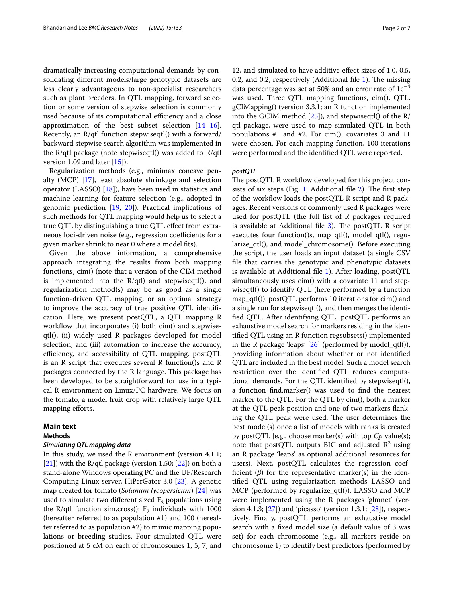dramatically increasing computational demands by consolidating diferent models/large genotypic datasets are less clearly advantageous to non-specialist researchers such as plant breeders. In QTL mapping, forward selection or some version of stepwise selection is commonly used because of its computational efficiency and a close approximation of the best subset selection [[14](#page-5-11)[–16](#page-5-13)]. Recently, an R/qtl function stepwiseqtl() with a forward/ backward stepwise search algorithm was implemented in the R/qtl package (note stepwiseqtl() was added to R/qtl version 1.09 and later  $[15]$  $[15]$ ).

Regularization methods (e.g., minimax concave penalty (MCP) [[17\]](#page-5-14), least absolute shrinkage and selection operator (LASSO)  $[18]$ ), have been used in statistics and machine learning for feature selection (e.g., adopted in genomic prediction [[19,](#page-5-16) [20\]](#page-5-17)). Practical implications of such methods for QTL mapping would help us to select a true QTL by distinguishing a true QTL efect from extraneous loci-driven noise (e.g., regression coefficients for a given marker shrink to near 0 where a model fts).

Given the above information, a comprehensive approach integrating the results from both mapping functions, cim() (note that a version of the CIM method is implemented into the R/qtl) and stepwiseqtl(), and regularization method(s) may be as good as a single function-driven QTL mapping, or an optimal strategy to improve the accuracy of true positive QTL identifcation. Here, we present postQTL, a QTL mapping R workflow that incorporates (i) both cim() and stepwiseqtl(), (ii) widely used R packages developed for model selection, and (iii) automation to increase the accuracy, efficiency, and accessibility of QTL mapping. postQTL is an R script that executes several R function()s and R packages connected by the R language. This package has been developed to be straightforward for use in a typical R environment on Linux/PC hardware. We focus on the tomato, a model fruit crop with relatively large QTL mapping efforts.

## **Main text**

## **Methods**

## *Simulating QTL mapping data*

In this study, we used the R environment (version 4.1.1; [[21\]](#page-5-18)) with the R/qtl package (version 1.50; [\[22\]](#page-5-19)) on both a stand-alone Windows operating PC and the UF/Research Computing Linux server, HiPerGator 3.0 [[23](#page-5-20)]. A genetic map created for tomato (*Solanum lycopersicum*) [[24](#page-5-21)] was used to simulate two different sized  $F_2$  populations using the R/qtl function sim.cross():  $F_2$  individuals with 1000 (hereafter referred to as population #1) and 100 (hereafter referred to as population #2) to mimic mapping populations or breeding studies. Four simulated QTL were positioned at 5 cM on each of chromosomes 1, 5, 7, and

12, and simulated to have additive efect sizes of 1.0, 0.5, 0.2, and 0.2, respectively (Additional file [1](#page-5-22)). The missing data percentage was set at 50% and an error rate of  $1e^{-4}$ was used. Three QTL mapping functions,  $\text{cim}()$ , QTL. gCIMapping() (version 3.3.1; an R function implemented into the GCIM method  $[25]$  $[25]$  $[25]$ , and stepwiseqtl() of the R/ qtl package, were used to map simulated QTL in both populations #1 and #2. For cim(), covariates 3 and 11 were chosen. For each mapping function, 100 iterations were performed and the identifed QTL were reported.

## *postQTL*

The postQTL R workflow developed for this project con-sists of six steps (Fig. [1;](#page-2-0) Additional file  $2$ ). The first step of the workflow loads the postQTL R script and R packages. Recent versions of commonly used R packages were used for postQTL (the full list of R packages required is available at Additional file  $3$ ). The postQTL R script executes four function()s, map\_qtl(), model\_qtl(), regularize\_qtl(), and model\_chromosome(). Before executing the script, the user loads an input dataset (a single CSV fle that carries the genotypic and phenotypic datasets is available at Additional fle [1\)](#page-5-22). After loading, postQTL simultaneously uses cim() with a covariate 11 and stepwiseqtl() to identify QTL (here performed by a function map\_qtl()). postQTL performs 10 iterations for cim() and a single run for stepwiseqtl(), and then merges the identifed QTL. After identifying QTL, postQTL performs an exhaustive model search for markers residing in the identifed QTL using an R function regsubsets() implemented in the R package 'leaps' [\[26\]](#page-5-26) (performed by model\_qtl()), providing information about whether or not identifed QTL are included in the best model. Such a model search restriction over the identifed QTL reduces computational demands. For the QTL identifed by stepwiseqtl(), a function fnd.marker() was used to fnd the nearest marker to the QTL. For the QTL by cim(), both a marker at the QTL peak position and one of two markers fanking the QTL peak were used. The user determines the best model(s) once a list of models with ranks is created by postQTL [e.g., choose marker(s) with top *Cp* value(s); note that postQTL outputs BIC and adjusted  $\mathbb{R}^2$  using an R package 'leaps' as optional additional resources for users). Next, postQTL calculates the regression coefficient  $(\beta)$  for the representative marker(s) in the identifed QTL using regularization methods LASSO and MCP (performed by regularize\_qtl()). LASSO and MCP were implemented using the R packages 'glmnet' (version 4.1.3;  $[27]$  $[27]$ ) and 'picasso' (version 1.3.1;  $[28]$  $[28]$  $[28]$ ), respectively. Finally, postQTL performs an exhaustive model search with a fxed model size (a default value of 3 was set) for each chromosome (e.g., all markers reside on chromosome 1) to identify best predictors (performed by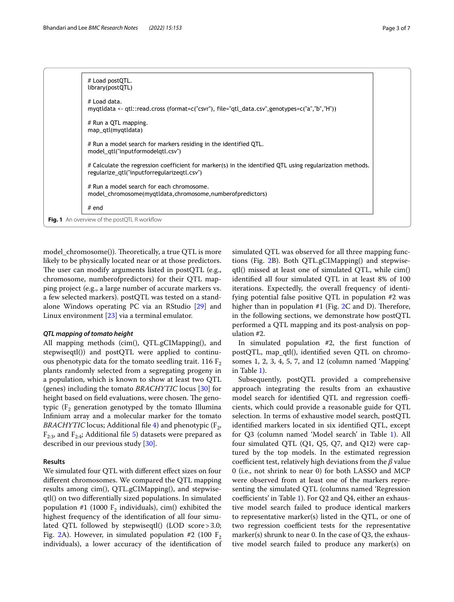|                                                     | # Load postQTL.<br>library(postQTL)                                                                                                                     |  |  |  |  |  |
|-----------------------------------------------------|---------------------------------------------------------------------------------------------------------------------------------------------------------|--|--|--|--|--|
|                                                     | # Load data.<br>mygtldata <- gtl::read.cross (format=c("csvr"), file="gtl_data.csv",genotypes=c("a","b","H"))                                           |  |  |  |  |  |
|                                                     | # Run a QTL mapping.<br>map_gtl(mygtldata)                                                                                                              |  |  |  |  |  |
|                                                     | # Run a model search for markers residing in the identified QTL.<br>model qtl("inputformodelqtl.csv")                                                   |  |  |  |  |  |
|                                                     | # Calculate the regression coefficient for marker(s) in the identified QTL using regularization methods.<br>regularize qtl("inputforregularizeqtl.csv") |  |  |  |  |  |
|                                                     | # Run a model search for each chromosome.<br>model chromosome(mygtldata, chromosome, number of predictors)                                              |  |  |  |  |  |
|                                                     | $#$ end                                                                                                                                                 |  |  |  |  |  |
| <b>Fig. 1</b> An overview of the postQTL R workflow |                                                                                                                                                         |  |  |  |  |  |

<span id="page-2-0"></span>model\_chromosome()). Theoretically, a true QTL is more likely to be physically located near or at those predictors. The user can modify arguments listed in postQTL (e.g., chromosome, numberofpredictors) for their QTL mapping project (e.g., a large number of accurate markers vs. a few selected markers). postQTL was tested on a standalone Windows operating PC via an RStudio [[29\]](#page-6-1) and Linux environment [\[23\]](#page-5-20) via a terminal emulator.

## *QTL mapping of tomato height*

All mapping methods (cim(), QTL.gCIMapping(), and stepwiseqtl()) and postQTL were applied to continuous phenotypic data for the tomato seedling trait. 116  $F_2$ plants randomly selected from a segregating progeny in a population, which is known to show at least two QTL (genes) including the tomato *BRACHYTIC* locus [[30\]](#page-6-2) for height based on field evaluations, were chosen. The genotypic ( $F_2$  generation genotyped by the tomato Illumina Infnium array and a molecular marker for the tomato *BRACHYTIC* locus; Additional file [4](#page-5-28)) and phenotypic  $(F_2, F_1)$  $F_{2:3}$ , and  $F_{2:4}$ ; Additional file [5](#page-5-29)) datasets were prepared as described in our previous study [[30\]](#page-6-2).

## **Results**

We simulated four QTL with diferent efect sizes on four diferent chromosomes. We compared the QTL mapping results among cim(), QTL.gCIMapping(), and stepwiseqtl() on two diferentially sized populations. In simulated population #1 (1000  $F_2$  individuals), cim() exhibited the highest frequency of the identifcation of all four simulated QTL followed by stepwiseqtl() (LOD score > 3.0; Fig. [2A](#page-3-0)). However, in simulated population #2 (100  $F_2$ ) individuals), a lower accuracy of the identifcation of simulated QTL was observed for all three mapping functions (Fig. [2](#page-3-0)B). Both QTL.gCIMapping() and stepwiseqtl() missed at least one of simulated QTL, while cim() identifed all four simulated QTL in at least 8% of 100 iterations. Expectedly, the overall frequency of identifying potential false positive QTL in population #2 was higher than in population  $#1$  (Fig.  $2C$  $2C$  and D). Therefore, in the following sections, we demonstrate how postQTL performed a QTL mapping and its post-analysis on population #2.

In simulated population #2, the frst function of postQTL, map\_qtl(), identifed seven QTL on chromosomes 1, 2, 3, 4, 5, 7, and 12 (column named 'Mapping' in Table [1\)](#page-4-0).

Subsequently, postQTL provided a comprehensive approach integrating the results from an exhaustive model search for identified QTL and regression coefficients, which could provide a reasonable guide for QTL selection. In terms of exhaustive model search, postQTL identifed markers located in six identifed QTL, except for Q3 (column named 'Model search' in Table [1\)](#page-4-0). All four simulated QTL (Q1, Q5, Q7, and Q12) were captured by the top models. In the estimated regression coefficient test, relatively high deviations from the  $\beta$  value 0 (i.e., not shrink to near 0) for both LASSO and MCP were observed from at least one of the markers representing the simulated QTL (columns named 'Regression coefficients' in Table [1](#page-4-0)). For  $Q2$  and  $Q4$ , either an exhaustive model search failed to produce identical markers to representative marker(s) listed in the QTL, or one of two regression coefficient tests for the representative marker(s) shrunk to near 0. In the case of Q3, the exhaustive model search failed to produce any marker(s) on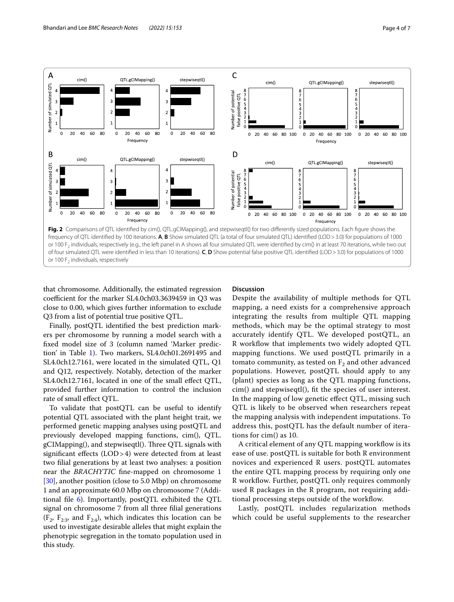

<span id="page-3-0"></span>that chromosome. Additionally, the estimated regression coefficient for the marker SL4.0ch03.3639459 in Q3 was close to 0.00, which gives further information to exclude Q3 from a list of potential true positive QTL.

Finally, postQTL identifed the best prediction markers per chromosome by running a model search with a fxed model size of 3 (column named 'Marker prediction' in Table [1\)](#page-4-0). Two markers, SL4.0ch01.2691495 and SL4.0ch12.7161, were located in the simulated QTL, Q1 and Q12, respectively. Notably, detection of the marker SL4.0ch12.7161, located in one of the small efect QTL, provided further information to control the inclusion rate of small efect QTL.

To validate that postQTL can be useful to identify potential QTL associated with the plant height trait, we performed genetic mapping analyses using postQTL and previously developed mapping functions, cim(), QTL. gCIMapping(), and stepwiseqtl(). Three QTL signals with signifcant efects (LOD>4) were detected from at least two flial generations by at least two analyses: a position near the *BRACHYTIC* fne-mapped on chromosome 1 [[30\]](#page-6-2), another position (close to 5.0 Mbp) on chromosome 1 and an approximate 60.0 Mbp on chromosome 7 (Additional file  $6$ ). Importantly, postQTL exhibited the QTL signal on chromosome 7 from all three flial generations  $(F_2, F_{2:3}, \text{ and } F_{2:4})$ , which indicates this location can be used to investigate desirable alleles that might explain the phenotypic segregation in the tomato population used in this study.

## **Discussion**

Despite the availability of multiple methods for QTL mapping, a need exists for a comprehensive approach integrating the results from multiple QTL mapping methods, which may be the optimal strategy to most accurately identify QTL. We developed postQTL, an R workfow that implements two widely adopted QTL mapping functions. We used postQTL primarily in a tomato community, as tested on  $F_2$  and other advanced populations. However, postQTL should apply to any (plant) species as long as the QTL mapping functions, cim() and stepwiseqtl(), ft the species of user interest. In the mapping of low genetic efect QTL, missing such QTL is likely to be observed when researchers repeat the mapping analysis with independent imputations. To address this, postQTL has the default number of iterations for cim() as 10.

A critical element of any QTL mapping workfow is its ease of use. postQTL is suitable for both R environment novices and experienced R users. postQTL automates the entire QTL mapping process by requiring only one R workflow. Further, postQTL only requires commonly used R packages in the R program, not requiring additional processing steps outside of the workflow.

Lastly, postQTL includes regularization methods which could be useful supplements to the researcher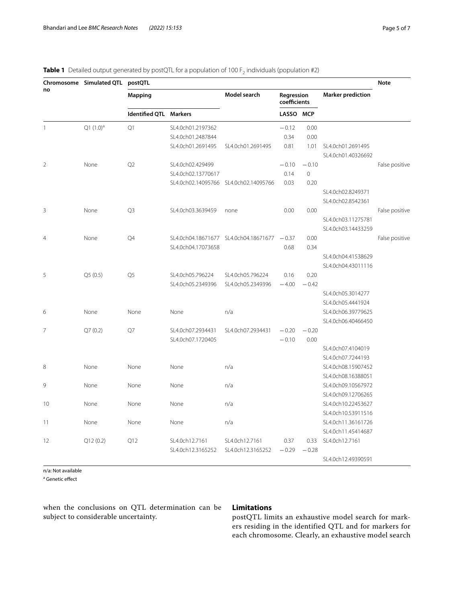|                | Chromosome Simulated QTL postQTL |                        |                    |                                              |                            |                |                                         | <b>Note</b>    |
|----------------|----------------------------------|------------------------|--------------------|----------------------------------------------|----------------------------|----------------|-----------------------------------------|----------------|
| no             |                                  | <b>Mapping</b>         |                    | Model search                                 | Regression<br>coefficients |                | <b>Marker prediction</b>                |                |
|                |                                  | Identified QTL Markers |                    |                                              | LASSO MCP                  |                |                                         |                |
| $\mathbf{1}$   | $Q1 (1.0)^a$                     | Q1                     | SL4.0ch01.2197362  |                                              | $-0.12$                    | 0.00           |                                         |                |
|                |                                  |                        | SL4.0ch01.2487844  |                                              | 0.34                       | 0.00           |                                         |                |
|                |                                  |                        | SL4.0ch01.2691495  | SL4.0ch01.2691495                            | 0.81                       | 1.01           | SL4.0ch01.2691495<br>SL4.0ch01.40326692 |                |
| $\overline{2}$ | None                             | Q2                     | SL4.0ch02.429499   |                                              | $-0.10$                    | $-0.10$        |                                         | False positive |
|                |                                  |                        | SL4.0ch02.13770617 |                                              | 0.14                       | $\overline{0}$ |                                         |                |
|                |                                  |                        |                    | SL4.0ch02.14095766 SL4.0ch02.14095766        | 0.03                       | 0.20           |                                         |                |
|                |                                  |                        |                    |                                              |                            |                | SL4.0ch02.8249371                       |                |
|                |                                  |                        |                    |                                              |                            |                | SL4.0ch02.8542361                       |                |
| 3              | None                             | Q <sub>3</sub>         | SL4.0ch03.3639459  | none                                         | 0.00                       | 0.00           |                                         | False positive |
|                |                                  |                        |                    |                                              |                            |                | SL4.0ch03.11275781                      |                |
|                |                                  |                        |                    |                                              |                            |                | SL4.0ch03.14433259                      |                |
| $\overline{4}$ | None                             | Q4                     | SL4.0ch04.17073658 | SL4.0ch04.18671677 SL4.0ch04.18671677 - 0.37 |                            | 0.00           |                                         | False positive |
|                |                                  |                        |                    |                                              | 0.68                       | 0.34           |                                         |                |
|                |                                  |                        |                    |                                              |                            |                | SL4.0ch04.41538629                      |                |
|                |                                  |                        |                    |                                              |                            |                | SL4.0ch04.43011116                      |                |
| 5              | Q5(0.5)                          | Q5                     | SL4.0ch05.796224   | SL4.0ch05.796224                             | 0.16                       | 0.20           |                                         |                |
|                |                                  |                        | SL4.0ch05.2349396  | SL4.0ch05.2349396                            | $-4.00$                    | $-0.42$        |                                         |                |
|                |                                  |                        |                    |                                              |                            |                | SL4.0ch05.3014277                       |                |
|                |                                  |                        |                    |                                              |                            |                | SL4.0ch05.4441924                       |                |
| 6              | None                             | None                   | None               | n/a                                          |                            |                | SL4.0ch06.39779625                      |                |
|                |                                  |                        |                    |                                              |                            |                | SL4.0ch06.40466450                      |                |
| $\overline{7}$ | Q7(0.2)                          | O7                     | SL4.0ch07.2934431  | SL4.0ch07.2934431                            | $-0.20$                    | $-0.20$        |                                         |                |
|                |                                  |                        | SL4.0ch07.1720405  |                                              | $-0.10$                    | 0.00           |                                         |                |
|                |                                  |                        |                    |                                              |                            |                | SL4.0ch07.4104019                       |                |
|                |                                  |                        |                    |                                              |                            |                | SL4.0ch07.7244193                       |                |
| 8              | None                             | None                   | None               | n/a                                          |                            |                | SL4.0ch08.15907452                      |                |
|                |                                  |                        |                    |                                              |                            |                | SL4.0ch08.16388051                      |                |
| 9              | None                             | None                   | None               | n/a                                          |                            |                | SL4.0ch09.10567972                      |                |
|                |                                  |                        |                    |                                              |                            |                | SL4.0ch09.12706265                      |                |
| 10             | None                             | None                   | None               | n/a                                          |                            |                | SL4.0ch10.22453627                      |                |
|                |                                  |                        |                    |                                              |                            |                | SL4.0ch10.53911516                      |                |
| 11             | None                             | None                   | None               | n/a                                          |                            |                | SL4.0ch11.36161726                      |                |
|                |                                  |                        |                    |                                              |                            |                | SL4.0ch11.45414687                      |                |
| 12             | Q12(0.2)                         | Q12                    | SL4.0ch12.7161     | SL4.0ch12.7161                               | 0.37                       | 0.33           | SL4.0ch12.7161                          |                |
|                |                                  |                        | SL4.0ch12.3165252  | SL4.0ch12.3165252                            | $-0.29$                    | $-0.28$        |                                         |                |
|                |                                  |                        |                    |                                              |                            |                | SL4.0ch12.49390591                      |                |

## <span id="page-4-0"></span>**Table 1** Detailed output generated by postQTL for a population of 100 F<sub>2</sub> individuals (population #2)

n/a: Not available

<sup>a</sup> Genetic effect

when the conclusions on QTL determination can be subject to considerable uncertainty.

## **Limitations**

postQTL limits an exhaustive model search for markers residing in the identified QTL and for markers for each chromosome. Clearly, an exhaustive model search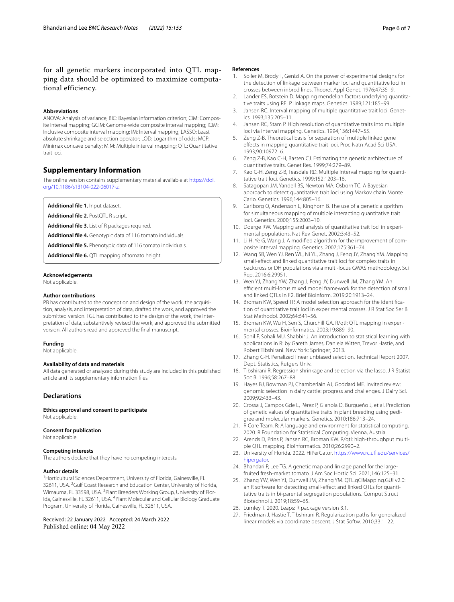for all genetic markers incorporated into QTL mapping data should be optimized to maximize computational efficiency.

#### **Abbreviations**

ANOVA: Analysis of variance; BIC: Bayesian information criterion; CIM: Composite interval mapping; GCIM: Genome-wide composite interval mapping; ICIM: Inclusive composite interval mapping; IM: Interval mapping; LASSO: Least absolute shrinkage and selection operator; LOD: Logarithm of odds; MCP: Minimax concave penalty; MIM: Multiple interval mapping; QTL: Quantitative trait loci.

## **Supplementary Information**

The online version contains supplementary material available at [https://doi.](https://doi.org/10.1186/s13104-022-06017-z) [org/10.1186/s13104-022-06017-z.](https://doi.org/10.1186/s13104-022-06017-z)

<span id="page-5-24"></span><span id="page-5-22"></span>**Additional fle 1.** Input dataset.

<span id="page-5-25"></span>**Additional fle 2.** PostQTL R script.

<span id="page-5-28"></span>**Additional fle 3.** List of R packages required.

<span id="page-5-29"></span>**Additional fle 4.** Genotypic data of 116 tomato individuals.

<span id="page-5-30"></span>**Additional fle 5.** Phenotypic data of 116 tomato individuals.

Additional file 6. QTL mapping of tomato height.

#### **Acknowledgements**

Not applicable.

#### **Author contributions**

PB has contributed to the conception and design of the work, the acquisition, analysis, and interpretation of data, drafted the work, and approved the submitted version. TGL has contributed to the design of the work, the interpretation of data, substantively revised the work, and approved the submitted version. All authors read and approved the fnal manuscript.

#### **Funding**

Not applicable.

#### **Availability of data and materials**

All data generated or analyzed during this study are included in this published article and its supplementary information fles.

## **Declarations**

**Ethics approval and consent to participate**

Not applicable.

#### **Consent for publication**

Not applicable.

#### **Competing interests**

The authors declare that they have no competing interests.

## **Author details**

<sup>1</sup> Horticultural Sciences Department, University of Florida, Gainesville, FL 32611, USA. <sup>2</sup> Gulf Coast Research and Education Center, University of Florida, Wimauma, FL 33598, USA. <sup>3</sup> Plant Breeders Working Group, University of Florida, Gainesville, FL 32611, USA. <sup>4</sup>Plant Molecular and Cellular Biology Graduate Program, University of Florida, Gainesville, FL 32611, USA.

Received: 22 January 2022 Accepted: 24 March 2022 Published online: 04 May 2022

#### **References**

- <span id="page-5-0"></span>1. Soller M, Brody T, Genizi A. On the power of experimental designs for the detection of linkage between marker loci and quantitative loci in crosses between inbred lines. Theoret Appl Genet. 1976;47:35–9.
- <span id="page-5-1"></span>2. Lander ES, Botstein D. Mapping mendelian factors underlying quantitative traits using RFLP linkage maps. Genetics. 1989;121:185–99.
- <span id="page-5-2"></span>3. Jansen RC. Interval mapping of multiple quantitative trait loci. Genetics. 1993;135:205–11.
- 4. Jansen RC, Stam P. High resolution of quantitative traits into multiple loci via interval mapping. Genetics. 1994;136:1447–55.
- 5. Zeng Z-B. Theoretical basis for separation of multiple linked gene efects in mapping quantitative trait loci. Proc Natn Acad Sci USA. 1993;90:10972–6.
- <span id="page-5-3"></span>6. Zeng Z-B, Kao C-H, Basten CJ. Estimating the genetic architecture of quantitative traits. Genet Res. 1999;74:279–89.
- <span id="page-5-4"></span>7. Kao C-H, Zeng Z-B, Teasdale RD. Multiple interval mapping for quantitative trait loci. Genetics. 1999;152:1203–16.
- <span id="page-5-5"></span>8. Satagopan JM, Yandell BS, Newton MA, Osborn TC. A Bayesian approach to detect quantitative trait loci using Markov chain Monte Carlo. Genetics. 1996;144:805–16.
- <span id="page-5-6"></span>9. Carlborg O, Andersson L, Kinghorn B. The use of a genetic algorithm for simultaneous mapping of multiple interacting quantitative trait loci. Genetics. 2000;155:2003–10.
- <span id="page-5-7"></span>10. Doerge RW. Mapping and analysis of quantitative trait loci in experimental populations. Nat Rev Genet. 2002;3:43–52.
- <span id="page-5-8"></span>11. Li H, Ye G, Wang J. A modifed algorithm for the improvement of composite interval mapping. Genetics. 2007;175:361–74.
- <span id="page-5-9"></span>12. Wang SB, Wen YJ, Ren WL, Ni YL, Zhang J, Feng JY, Zhang YM. Mapping small-efect and linked quantitative trait loci for complex traits in backcross or DH populations via a multi-locus GWAS methodology. Sci Rep. 2016;6:29951.
- <span id="page-5-10"></span>13. Wen YJ, Zhang YW, Zhang J, Feng JY, Dunwell JM, Zhang YM. An efficient multi-locus mixed model framework for the detection of small and linked QTLs in F2. Brief Bioinform. 2019;20:1913–24.
- <span id="page-5-11"></span>14. Broman KW, Speed TP. A model selection approach for the identifcation of quantitative trait loci in experimental crosses. J R Stat Soc Ser B Stat Methodol. 2002;64:641–56.
- <span id="page-5-12"></span>15. Broman KW, Wu H, Sen S, Churchill GA. R/qtl: QTL mapping in experimental crosses. Bioinformatics. 2003;19:889–90.
- <span id="page-5-13"></span>16. Sohil F, Sohali MU, Shabbir J. An introduction to statistical learning with applications in R: by Gareth James, Daniela Witten, Trevor Hastie, and Robert Tibshirani. New York: Springer; 2013.
- <span id="page-5-14"></span>17. Zhang C-H. Penalized linear unbiased selection. Technical Report 2007. Dept. Statistics, Rutgers Univ.
- <span id="page-5-15"></span>18. Tibshirani R. Regression shrinkage and selection via the lasso. J R Statist Soc B. 1996;58:267–88.
- <span id="page-5-16"></span>19. Hayes BJ, Bowman PJ, Chamberlain AJ, Goddard ME. Invited review: genomic selection in dairy cattle: progress and challenges. J Dairy Sci. 2009;92:433–43.
- <span id="page-5-17"></span>20. Crossa J, Campos Gde L, Pérez P, Gianola D, Burgueño J, et al. Prediction of genetic values of quantitative traits in plant breeding using pedigree and molecular markers. Genetics. 2010;186:713–24.
- <span id="page-5-18"></span>21. R Core Team. R: A language and environment for statistical computing. 2020. R Foundation for Statistical Computing, Vienna, Austria
- <span id="page-5-19"></span>22. Arends D, Prins P, Jansen RC, Broman KW. R/qtl: high-throughput multiple QTL mapping. Bioinformatics. 2010;26:2990–2.
- <span id="page-5-20"></span>23. University of Florida. 2022. HiPerGator. [https://www.rc.uf.edu/services/](https://www.rc.ufl.edu/services/hipergator) [hipergator.](https://www.rc.ufl.edu/services/hipergator)
- <span id="page-5-21"></span>24. Bhandari P, Lee TG. A genetic map and linkage panel for the largefruited fresh-market tomato. J Am Soc Hortic Sci. 2021;146:125–31.
- <span id="page-5-23"></span>25. Zhang YW, Wen YJ, Dunwell JM, Zhang YM. QTL.gCIMapping.GUI v2.0: an R software for detecting small-efect and linked QTLs for quantitative traits in bi-parental segregation populations. Comput Struct Biotechnol J. 2019;18:59–65.
- <span id="page-5-26"></span>26. Lumley T. 2020. Leaps: R package version 3.1.
- <span id="page-5-27"></span>27. Friedman J, Hastie T, Tibshirani R. Regularization paths for generalized linear models via coordinate descent. J Stat Softw. 2010;33:1–22.